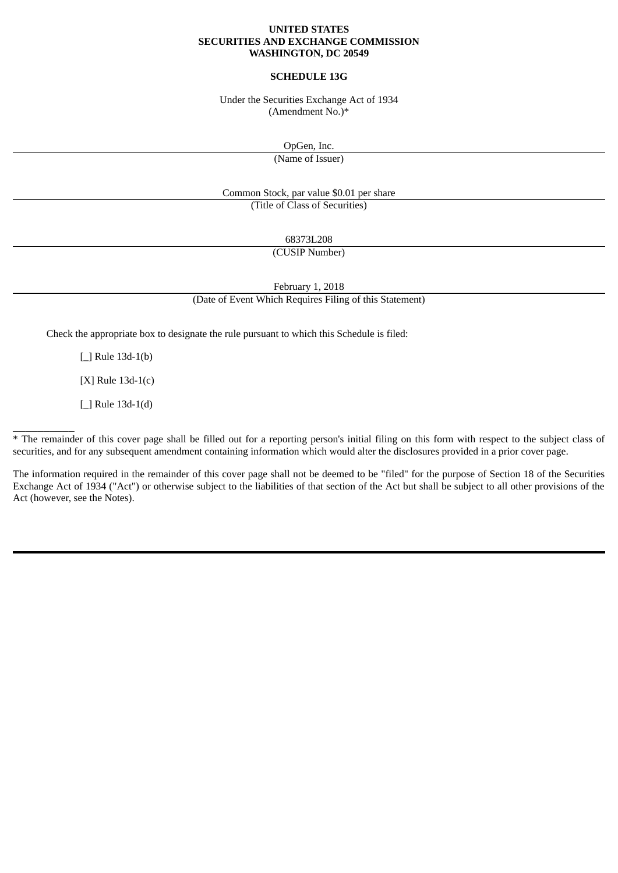### **UNITED STATES SECURITIES AND EXCHANGE COMMISSION WASHINGTON, DC 20549**

# **SCHEDULE 13G**

Under the Securities Exchange Act of 1934 (Amendment No.)\*

OpGen, Inc.

(Name of Issuer)

Common Stock, par value \$0.01 per share (Title of Class of Securities)

68373L208

(CUSIP Number)

February 1, 2018

(Date of Event Which Requires Filing of this Statement)

Check the appropriate box to designate the rule pursuant to which this Schedule is filed:

[\_] Rule 13d-1(b)

[X] Rule 13d-1(c)

[\_] Rule 13d-1(d)

 $\overline{\phantom{a}}$ 

\* The remainder of this cover page shall be filled out for a reporting person's initial filing on this form with respect to the subject class of securities, and for any subsequent amendment containing information which would alter the disclosures provided in a prior cover page.

The information required in the remainder of this cover page shall not be deemed to be "filed" for the purpose of Section 18 of the Securities Exchange Act of 1934 ("Act") or otherwise subject to the liabilities of that section of the Act but shall be subject to all other provisions of the Act (however, see the Notes).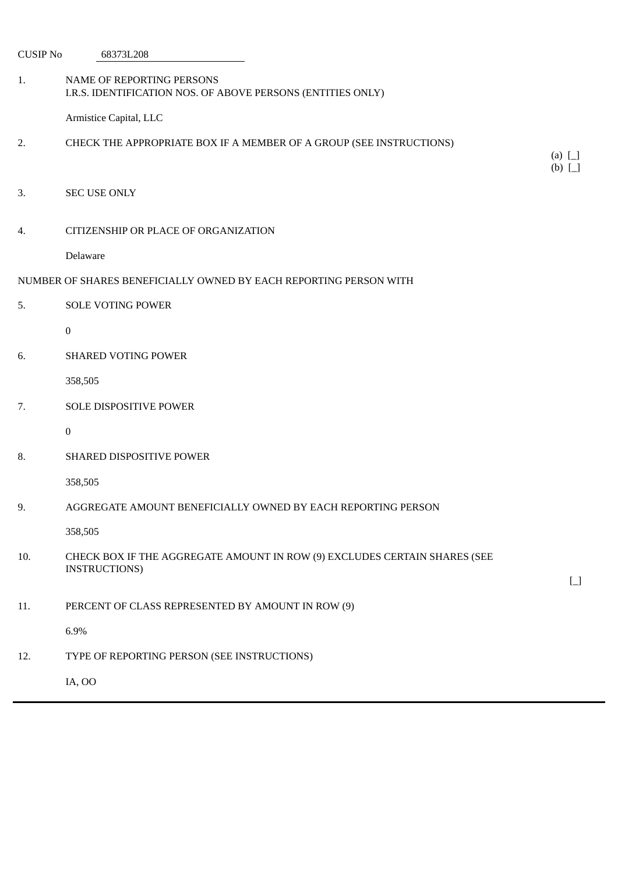CUSIP No 68373L208

| 1.  | NAME OF REPORTING PERSONS<br>I.R.S. IDENTIFICATION NOS. OF ABOVE PERSONS (ENTITIES ONLY)           |                                        |
|-----|----------------------------------------------------------------------------------------------------|----------------------------------------|
|     | Armistice Capital, LLC                                                                             |                                        |
| 2.  | CHECK THE APPROPRIATE BOX IF A MEMBER OF A GROUP (SEE INSTRUCTIONS)                                |                                        |
|     |                                                                                                    | (a) $\Box$<br>$(b)$ [_]                |
| 3.  | <b>SEC USE ONLY</b>                                                                                |                                        |
| 4.  | CITIZENSHIP OR PLACE OF ORGANIZATION                                                               |                                        |
|     | Delaware                                                                                           |                                        |
|     | NUMBER OF SHARES BENEFICIALLY OWNED BY EACH REPORTING PERSON WITH                                  |                                        |
| 5.  | <b>SOLE VOTING POWER</b>                                                                           |                                        |
|     | $\boldsymbol{0}$                                                                                   |                                        |
| 6.  | <b>SHARED VOTING POWER</b>                                                                         |                                        |
|     | 358,505                                                                                            |                                        |
| 7.  | SOLE DISPOSITIVE POWER                                                                             |                                        |
|     | $\boldsymbol{0}$                                                                                   |                                        |
| 8.  | SHARED DISPOSITIVE POWER                                                                           |                                        |
|     | 358,505                                                                                            |                                        |
| 9.  | AGGREGATE AMOUNT BENEFICIALLY OWNED BY EACH REPORTING PERSON                                       |                                        |
|     | 358,505                                                                                            |                                        |
| 10. | CHECK BOX IF THE AGGREGATE AMOUNT IN ROW (9) EXCLUDES CERTAIN SHARES (SEE<br><b>INSTRUCTIONS</b> ) | $\begin{bmatrix} 1 \\ 1 \end{bmatrix}$ |
| 11. | PERCENT OF CLASS REPRESENTED BY AMOUNT IN ROW (9)                                                  |                                        |
|     | 6.9%                                                                                               |                                        |
| 12. | TYPE OF REPORTING PERSON (SEE INSTRUCTIONS)                                                        |                                        |
|     | IA, OO                                                                                             |                                        |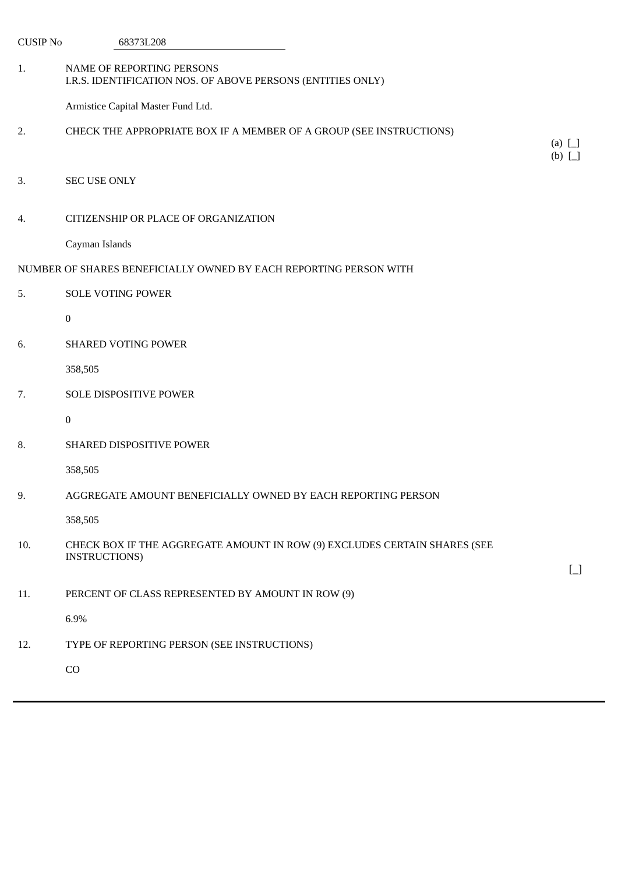| <b>CUSIP No</b> | 68373L208                                                                                         |                         |
|-----------------|---------------------------------------------------------------------------------------------------|-------------------------|
| 1.              | NAME OF REPORTING PERSONS<br>I.R.S. IDENTIFICATION NOS. OF ABOVE PERSONS (ENTITIES ONLY)          |                         |
|                 | Armistice Capital Master Fund Ltd.                                                                |                         |
| 2.              | CHECK THE APPROPRIATE BOX IF A MEMBER OF A GROUP (SEE INSTRUCTIONS)                               | (a) $\Box$<br>$(b)$ [_] |
| 3.              | <b>SEC USE ONLY</b>                                                                               |                         |
| 4.              | CITIZENSHIP OR PLACE OF ORGANIZATION                                                              |                         |
|                 | Cayman Islands                                                                                    |                         |
|                 | NUMBER OF SHARES BENEFICIALLY OWNED BY EACH REPORTING PERSON WITH                                 |                         |
| 5.              | <b>SOLE VOTING POWER</b>                                                                          |                         |
|                 | $\boldsymbol{0}$                                                                                  |                         |
| 6.              | <b>SHARED VOTING POWER</b>                                                                        |                         |
|                 | 358,505                                                                                           |                         |
| 7.              | SOLE DISPOSITIVE POWER                                                                            |                         |
|                 | $\boldsymbol{0}$                                                                                  |                         |
| 8.              | SHARED DISPOSITIVE POWER                                                                          |                         |
|                 | 358,505                                                                                           |                         |
| 9.              | AGGREGATE AMOUNT BENEFICIALLY OWNED BY EACH REPORTING PERSON                                      |                         |
|                 | 358,505                                                                                           |                         |
| 10.             | CHECK BOX IF THE AGGREGATE AMOUNT IN ROW (9) EXCLUDES CERTAIN SHARES (SEE<br><b>INSTRUCTIONS)</b> | $\Box$                  |
| 11.             | PERCENT OF CLASS REPRESENTED BY AMOUNT IN ROW (9)                                                 |                         |
|                 | 6.9%                                                                                              |                         |
| 12.             | TYPE OF REPORTING PERSON (SEE INSTRUCTIONS)                                                       |                         |
|                 | CO                                                                                                |                         |
|                 |                                                                                                   |                         |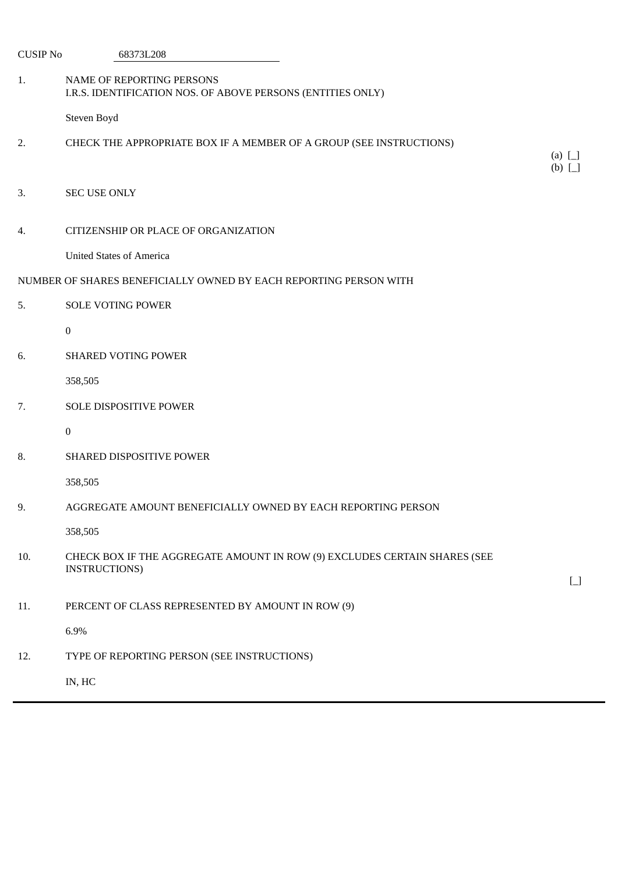| <b>CUSIP No</b> | 68373L208                                                                                  |                              |
|-----------------|--------------------------------------------------------------------------------------------|------------------------------|
| 1.              | NAME OF REPORTING PERSONS<br>I.R.S. IDENTIFICATION NOS. OF ABOVE PERSONS (ENTITIES ONLY)   |                              |
|                 | Steven Boyd                                                                                |                              |
| 2.              | CHECK THE APPROPRIATE BOX IF A MEMBER OF A GROUP (SEE INSTRUCTIONS)                        | $(a)$ $\Box$<br>$(b)$ $\Box$ |
| 3.              | <b>SEC USE ONLY</b>                                                                        |                              |
| 4.              | CITIZENSHIP OR PLACE OF ORGANIZATION                                                       |                              |
|                 | <b>United States of America</b>                                                            |                              |
|                 | NUMBER OF SHARES BENEFICIALLY OWNED BY EACH REPORTING PERSON WITH                          |                              |
| 5.              | <b>SOLE VOTING POWER</b>                                                                   |                              |
|                 | $\bf{0}$                                                                                   |                              |
| 6.              | <b>SHARED VOTING POWER</b>                                                                 |                              |
|                 | 358,505                                                                                    |                              |
| 7.              | SOLE DISPOSITIVE POWER                                                                     |                              |
|                 | $\bf{0}$                                                                                   |                              |
| 8.              | <b>SHARED DISPOSITIVE POWER</b>                                                            |                              |
|                 | 358,505                                                                                    |                              |
| 9.              | AGGREGATE AMOUNT BENEFICIALLY OWNED BY EACH REPORTING PERSON                               |                              |
|                 | 358,505                                                                                    |                              |
| 10.             | CHECK BOX IF THE AGGREGATE AMOUNT IN ROW (9) EXCLUDES CERTAIN SHARES (SEE<br>INSTRUCTIONS) | $\boxed{\phantom{1}}$        |
| 11.             | PERCENT OF CLASS REPRESENTED BY AMOUNT IN ROW (9)                                          |                              |
|                 | 6.9%                                                                                       |                              |
| 12.             | TYPE OF REPORTING PERSON (SEE INSTRUCTIONS)                                                |                              |
|                 | IN, HC                                                                                     |                              |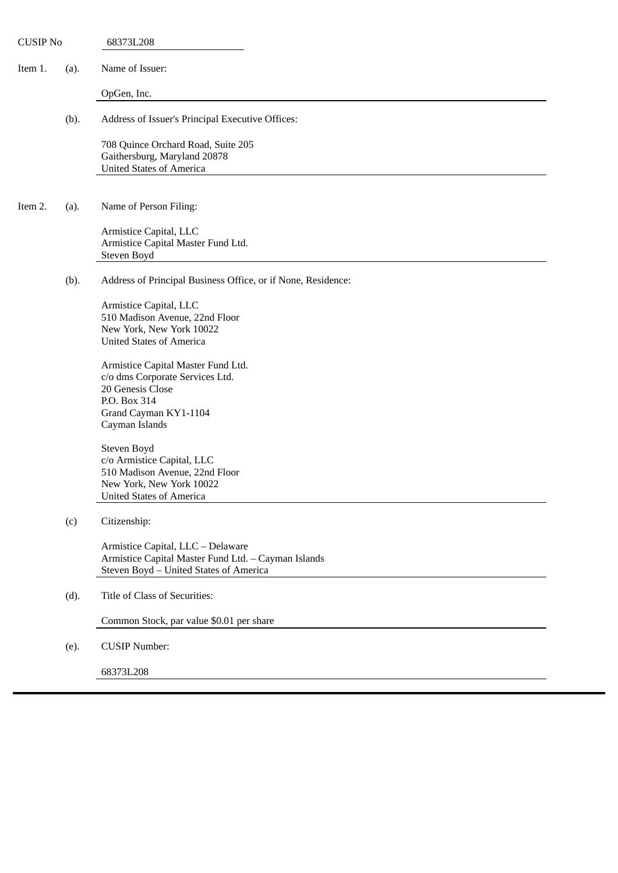| <b>CUSIP No</b> |      | 68373L208                                                                                                                                            |
|-----------------|------|------------------------------------------------------------------------------------------------------------------------------------------------------|
| Item 1.         | (a). | Name of Issuer:                                                                                                                                      |
|                 |      | OpGen, Inc.                                                                                                                                          |
|                 | (b). | Address of Issuer's Principal Executive Offices:                                                                                                     |
|                 |      | 708 Quince Orchard Road, Suite 205<br>Gaithersburg, Maryland 20878<br><b>United States of America</b>                                                |
| Item 2.         | (a). | Name of Person Filing:                                                                                                                               |
|                 |      | Armistice Capital, LLC<br>Armistice Capital Master Fund Ltd.<br>Steven Boyd                                                                          |
|                 | (b). | Address of Principal Business Office, or if None, Residence:                                                                                         |
|                 |      | Armistice Capital, LLC<br>510 Madison Avenue, 22nd Floor<br>New York, New York 10022<br><b>United States of America</b>                              |
|                 |      | Armistice Capital Master Fund Ltd.<br>c/o dms Corporate Services Ltd.<br>20 Genesis Close<br>P.O. Box 314<br>Grand Cayman KY1-1104<br>Cayman Islands |
|                 |      | Steven Boyd<br>c/o Armistice Capital, LLC<br>510 Madison Avenue, 22nd Floor<br>New York, New York 10022<br><b>United States of America</b>           |
|                 | (c)  | Citizenship:                                                                                                                                         |
|                 |      | Armistice Capital, LLC - Delaware<br>Armistice Capital Master Fund Ltd. - Cayman Islands<br>Steven Boyd - United States of America                   |
|                 | (d). | Title of Class of Securities:                                                                                                                        |
|                 |      | Common Stock, par value \$0.01 per share                                                                                                             |
|                 | (e). | <b>CUSIP Number:</b>                                                                                                                                 |
|                 |      | 68373L208                                                                                                                                            |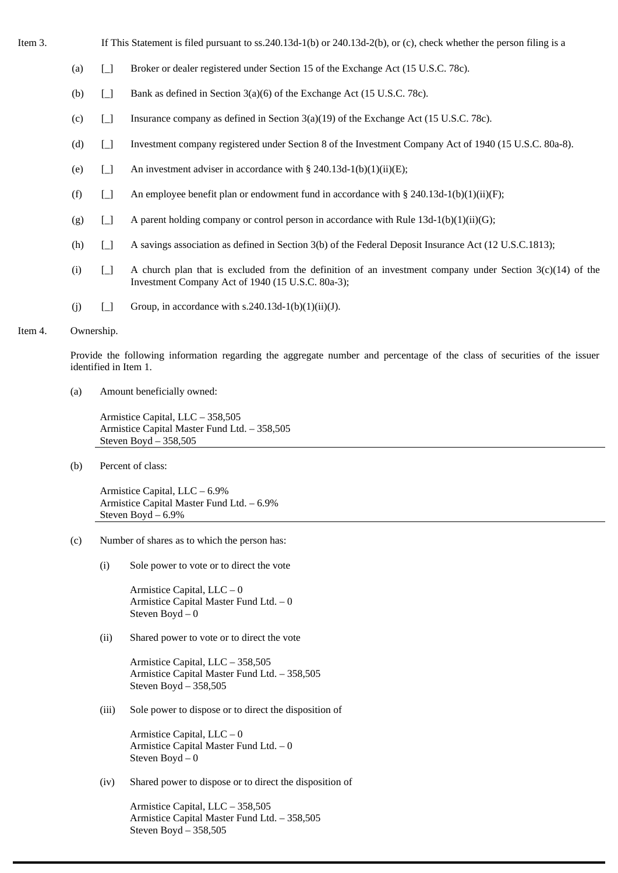- 
- Item 3. If This Statement is filed pursuant to ss.240.13d-1(b) or 240.13d-2(b), or (c), check whether the person filing is a
	- (a) [\_] Broker or dealer registered under Section 15 of the Exchange Act (15 U.S.C. 78c).
	- (b) [\_] Bank as defined in Section 3(a)(6) of the Exchange Act (15 U.S.C. 78c).
	- (c)  $\Box$  Insurance company as defined in Section 3(a)(19) of the Exchange Act (15 U.S.C. 78c).
	- (d) [\_] Investment company registered under Section 8 of the Investment Company Act of 1940 (15 U.S.C. 80a-8).
	- (e)  $\Box$  An investment adviser in accordance with § 240.13d-1(b)(1)(ii)(E);
	- (f)  $\begin{bmatrix} \end{bmatrix}$  An employee benefit plan or endowment fund in accordance with § 240.13d-1(b)(1)(ii)(F);
	- (g)  $\Box$  A parent holding company or control person in accordance with Rule 13d-1(b)(1)(ii)(G);
	- (h) [\_] A savings association as defined in Section 3(b) of the Federal Deposit Insurance Act (12 U.S.C.1813);
	- (i)  $\Box$  A church plan that is excluded from the definition of an investment company under Section 3(c)(14) of the Investment Company Act of 1940 (15 U.S.C. 80a-3);
	- (i)  $\Box$  Group, in accordance with s.240.13d-1(b)(1)(ii)(J).

#### Item 4. Ownership.

Provide the following information regarding the aggregate number and percentage of the class of securities of the issuer identified in Item 1.

(a) Amount beneficially owned:

Armistice Capital, LLC – 358,505 Armistice Capital Master Fund Ltd. – 358,505 Steven Boyd – 358,505

(b) Percent of class:

Armistice Capital, LLC – 6.9% Armistice Capital Master Fund Ltd. – 6.9% Steven Boyd – 6.9%

- (c) Number of shares as to which the person has:
	- (i) Sole power to vote or to direct the vote

Armistice Capital, LLC – 0 Armistice Capital Master Fund Ltd. – 0 Steven Boyd – 0

(ii) Shared power to vote or to direct the vote

Armistice Capital, LLC – 358,505 Armistice Capital Master Fund Ltd. – 358,505 Steven Boyd – 358,505

(iii) Sole power to dispose or to direct the disposition of

Armistice Capital, LLC – 0 Armistice Capital Master Fund Ltd. – 0 Steven Boyd – 0

(iv) Shared power to dispose or to direct the disposition of

Armistice Capital, LLC – 358,505 Armistice Capital Master Fund Ltd. – 358,505 Steven Boyd – 358,505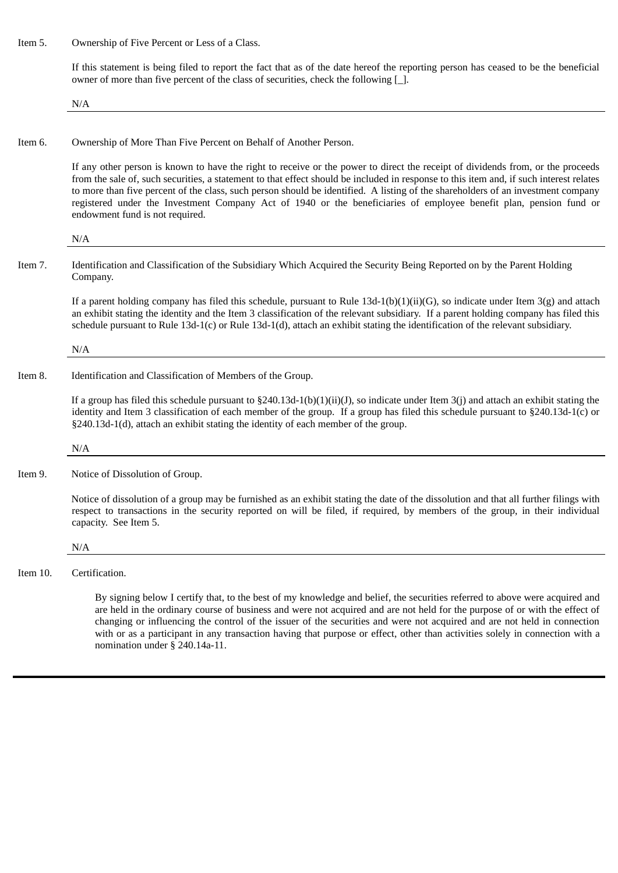Item 5. Ownership of Five Percent or Less of a Class.

If this statement is being filed to report the fact that as of the date hereof the reporting person has ceased to be the beneficial owner of more than five percent of the class of securities, check the following [\_].

N/A

Item 6. Ownership of More Than Five Percent on Behalf of Another Person.

If any other person is known to have the right to receive or the power to direct the receipt of dividends from, or the proceeds from the sale of, such securities, a statement to that effect should be included in response to this item and, if such interest relates to more than five percent of the class, such person should be identified. A listing of the shareholders of an investment company registered under the Investment Company Act of 1940 or the beneficiaries of employee benefit plan, pension fund or endowment fund is not required.

#### N/A

Item 7. Identification and Classification of the Subsidiary Which Acquired the Security Being Reported on by the Parent Holding Company.

If a parent holding company has filed this schedule, pursuant to Rule  $13d-1(b)(1)(ii)(G)$ , so indicate under Item  $3(g)$  and attach an exhibit stating the identity and the Item 3 classification of the relevant subsidiary. If a parent holding company has filed this schedule pursuant to Rule 13d-1(c) or Rule 13d-1(d), attach an exhibit stating the identification of the relevant subsidiary.

#### N/A

Item 8. Identification and Classification of Members of the Group.

If a group has filed this schedule pursuant to  $\S240.13d-1(b)(1)(ii)(J)$ , so indicate under Item 3(j) and attach an exhibit stating the identity and Item 3 classification of each member of the group. If a group has filed this schedule pursuant to §240.13d-1(c) or §240.13d-1(d), attach an exhibit stating the identity of each member of the group.

N/A

Item 9. Notice of Dissolution of Group.

Notice of dissolution of a group may be furnished as an exhibit stating the date of the dissolution and that all further filings with respect to transactions in the security reported on will be filed, if required, by members of the group, in their individual capacity. See Item 5.

N/A

Item 10. Certification.

By signing below I certify that, to the best of my knowledge and belief, the securities referred to above were acquired and are held in the ordinary course of business and were not acquired and are not held for the purpose of or with the effect of changing or influencing the control of the issuer of the securities and were not acquired and are not held in connection with or as a participant in any transaction having that purpose or effect, other than activities solely in connection with a nomination under § 240.14a-11.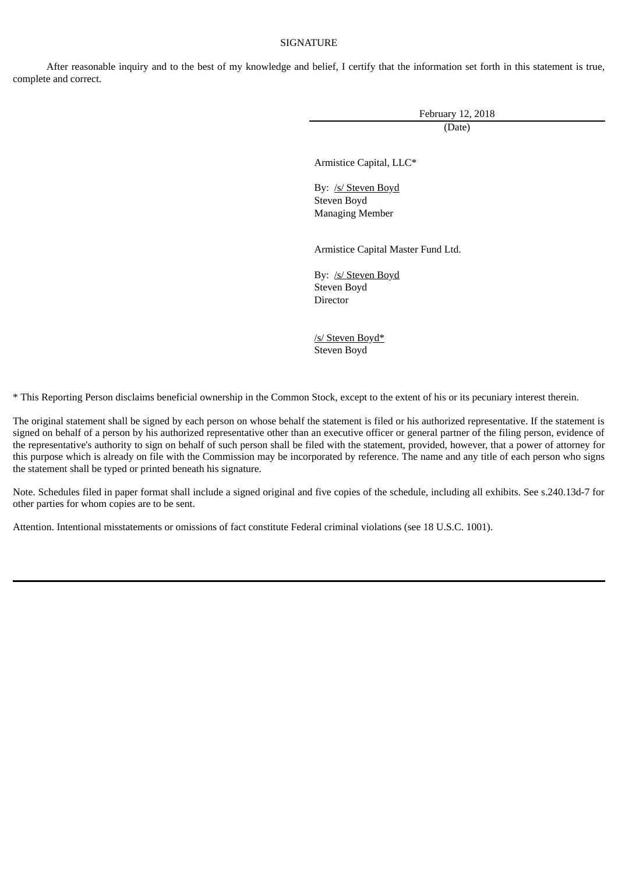## **SIGNATURE**

After reasonable inquiry and to the best of my knowledge and belief, I certify that the information set forth in this statement is true, complete and correct.

February 12, 2018

(Date)

Armistice Capital, LLC\*

By: /s/ Steven Boyd Steven Boyd Managing Member

Armistice Capital Master Fund Ltd.

By: /s/ Steven Boyd Steven Boyd Director

/s/ Steven Boyd\* Steven Boyd

\* This Reporting Person disclaims beneficial ownership in the Common Stock, except to the extent of his or its pecuniary interest therein.

The original statement shall be signed by each person on whose behalf the statement is filed or his authorized representative. If the statement is signed on behalf of a person by his authorized representative other than an executive officer or general partner of the filing person, evidence of the representative's authority to sign on behalf of such person shall be filed with the statement, provided, however, that a power of attorney for this purpose which is already on file with the Commission may be incorporated by reference. The name and any title of each person who signs the statement shall be typed or printed beneath his signature.

Note. Schedules filed in paper format shall include a signed original and five copies of the schedule, including all exhibits. See s.240.13d-7 for other parties for whom copies are to be sent.

Attention. Intentional misstatements or omissions of fact constitute Federal criminal violations (see 18 U.S.C. 1001).